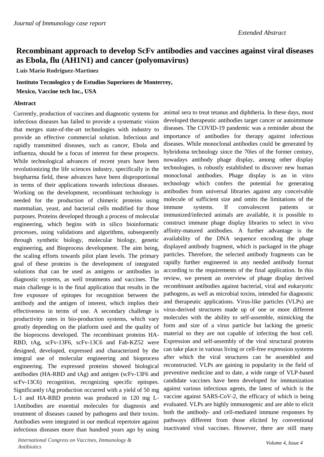animal sera to treat tetanus and diphtheria. In these days, most developed therapeutic antibodies target cancer or autoimmune diseases. The COVID-19 pandemic was a reminder about the importance of antibodies for therapy against infectious diseases. While monoclonal antibodies could be generated by hybridoma technology since the 70ies of the former century, nowadays antibody phage display, among other display technologies, is robustly established to discover new human monoclonal antibodies. Phage display is an in vitro

## **Recombinant approach to develop ScFv antibodies and vaccines against viral diseases as Ebola, flu (AH1N1) and cancer (polyomavirus)**

**Luis Mario Rodriguez-Martinez**

**Instituto Tecnologico y de Estudios Superiores de Monterrey,** 

**Mexico, Vaccine tech Inc., USA**

## **Abstract**

Currently, production of vaccines and diagnostic systems for infectious diseases has failed to provide a systematic vision that merges state-of-the-art technologies with industry to provide an effective commercial solution. Infectious and rapidly transmitted diseases, such as cancer, Ebola and influenza, should be a focus of interest for these prospects. While technological advances of recent years have been revolutionizing the life sciences industry, specifically in the biopharma field, these advances have been disproportional in terms of their applications towards infectious diseases. Working on the development, recombinant technology is needed for the production of chimeric proteins using mammalian, yeast, and bacterial cells modified for those purposes. Proteins developed through a process of molecular engineering, which begins with in silico bioinformatic processes, using validations and algorithms, subsequently through synthetic biology, molecular biology, genetic engineering, and Bioprocess development. The aim being, the scaling efforts towards pilot plant levels. The primary goal of these proteins is the development of integrated solutions that can be used as antigens or antibodies in diagnostic systems, as well treatments and vaccines. The main challenge is in the final application that results in the free exposure of epitopes for recognition between the antibody and the antigen of interest, which implies their effectiveness in terms of use. A secondary challenge is productivity rates in bio-production systems, which vary greatly depending on the platform used and the quality of the bioprocess developed. The recombinant proteins HA-RBD, tAg, scFv-13F6, scFv-13C6 and Fab-KZ52 were designed, developed, expressed and characterized by the integral use of molecular engineering and bioprocess engineering. The expressed proteins showed biological antibodies (HA-RBD and tAg) and antigen (scFv-13F6 and scFv-13C6) recognition, recognizing specific epitopes. Significantly tAg production occurred with a yield of 50 mg L-1 and HA-RBD protein was produced in 120 mg L-1Antibodies are essential molecules for diagnosis and treatment of diseases caused by pathogens and their toxins. Antibodies were integrated in our medical repertoire against infectious diseases more than hundred years ago by using

technology which confers the potential for generating antibodies from universal libraries against any conceivable molecule of sufficient size and omits the limitations of the immune systems. If convalescent patients or immunized/infected animals are available, it is possible to construct immune phage display libraries to select in vivo affinity-matured antibodies. A further advantage is the availability of the DNA sequence encoding the phage displayed antibody fragment, which is packaged in the phage particles. Therefore, the selected antibody fragments can be rapidly further engineered in any needed antibody format according to the requirements of the final application. In this review, we present an overview of phage display derived recombinant antibodies against bacterial, viral and eukaryotic pathogens, as well as microbial toxins, intended for diagnostic and therapeutic applications. Virus-like particles (VLPs) are virus-derived structures made up of one or more different molecules with the ability to self-assemble, mimicking the form and size of a virus particle but lacking the genetic material so they are not capable of infecting the host cell. Expression and self-assembly of the viral structural proteins can take place in various living or cell-free expression systems after which the viral structures can be assembled and reconstructed. VLPs are gaining in popularity in the field of preventive medicine and to date, a wide range of VLP-based candidate vaccines have been developed for immunization against various infectious agents, the latest of which is the vaccine against SARS-CoV-2, the efficacy of which is being evaluated. VLPs are highly immunogenic and are able to elicit both the antibody- and cell-mediated immune responses by pathways different from those elicited by conventional inactivated viral vaccines. However, there are still many

*International Congress on Vaccines, Immunology & Antibiotics*